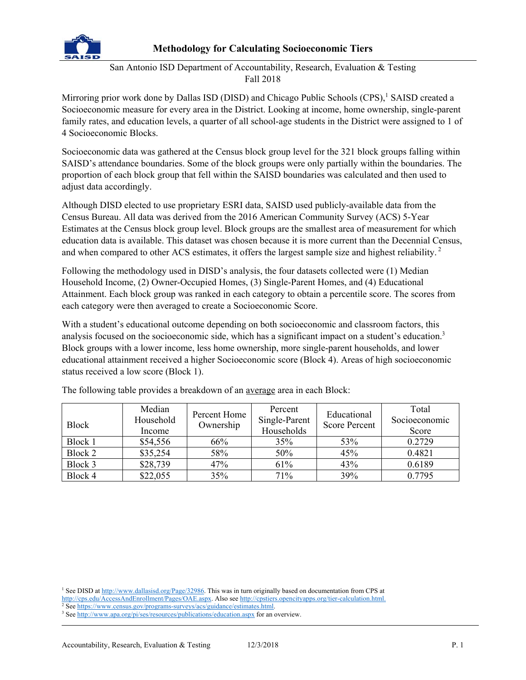

## **Methodology for Calculating Socioeconomic Tiers**

San Antonio ISD Department of Accountability, Research, Evaluation & Testing Fall 2018

Mirroring prior work done by Dallas ISD (DISD) and Chicago Public Schools (CPS),<sup>1</sup> SAISD created a Socioeconomic measure for every area in the District. Looking at income, home ownership, single-parent family rates, and education levels, a quarter of all school-age students in the District were assigned to 1 of 4 Socioeconomic Blocks.

Socioeconomic data was gathered at the Census block group level for the 321 block groups falling within SAISD's attendance boundaries. Some of the block groups were only partially within the boundaries. The proportion of each block group that fell within the SAISD boundaries was calculated and then used to adjust data accordingly.

Although DISD elected to use proprietary ESRI data, SAISD used publicly-available data from the Census Bureau. All data was derived from the 2016 American Community Survey (ACS) 5-Year Estimates at the Census block group level. Block groups are the smallest area of measurement for which education data is available. This dataset was chosen because it is more current than the Decennial Census, and when compared to other ACS estimates, it offers the largest sample size and highest reliability.<sup>2</sup>

Following the methodology used in DISD's analysis, the four datasets collected were (1) Median Household Income, (2) Owner-Occupied Homes, (3) Single-Parent Homes, and (4) Educational Attainment. Each block group was ranked in each category to obtain a percentile score. The scores from each category were then averaged to create a Socioeconomic Score.

With a student's educational outcome depending on both socioeconomic and classroom factors, this analysis focused on the socioeconomic side, which has a significant impact on a student's education.<sup>3</sup> Block groups with a lower income, less home ownership, more single-parent households, and lower educational attainment received a higher Socioeconomic score (Block 4). Areas of high socioeconomic status received a low score (Block 1).

|              | Median<br>Household | Percent Home | Percent<br>Single-Parent | Educational          | Total<br>Socioeconomic |
|--------------|---------------------|--------------|--------------------------|----------------------|------------------------|
| <b>Block</b> | Income              | Ownership    | Households               | <b>Score Percent</b> | Score                  |
| Block 1      | \$54,556            | 66%          | 35%                      | 53%                  | 0.2729                 |
| Block 2      | \$35,254            | 58%          | 50%                      | 45%                  | 0.4821                 |
| Block 3      | \$28,739            | 47%          | 61%                      | 43%                  | 0.6189                 |
| Block 4      | \$22,055            | 35%          | 71%                      | 39%                  | 0.7795                 |

The following table provides a breakdown of an average area in each Block:

<sup>&</sup>lt;sup>1</sup> See DISD at http://www.dallasisd.org/Page/32986. This was in turn originally based on documentation from CPS at http://cps.edu/AccessAndEnrollment/Pages/OAE.aspx. Also see http://cpstiers.opencityapps.org/tier-calculation.html.

<sup>&</sup>lt;sup>2</sup> See https://www.census.gov/programs-surveys/acs/guidance/estimates.html.<br><sup>3</sup> See http://www.gpa.org/pi/ses/resources/publications/education.gov.for.ap

<sup>&</sup>lt;sup>3</sup> See http://www.apa.org/pi/ses/resources/publications/education.aspx for an overview.